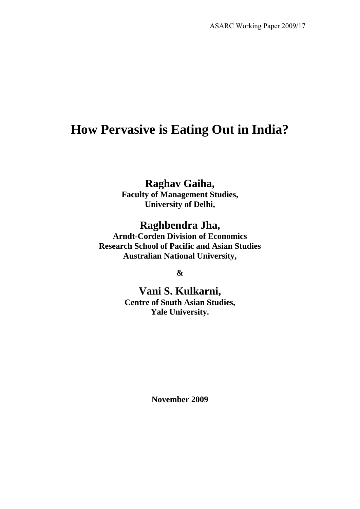# **How Pervasive is Eating Out in India?**

## **Raghav Gaiha,**

**Faculty of Management Studies, University of Delhi,** 

### **Raghbendra Jha,**

**Arndt-Corden Division of Economics Research School of Pacific and Asian Studies Australian National University,** 

**&** 

**Vani S. Kulkarni, Centre of South Asian Studies, Yale University.** 

**November 2009**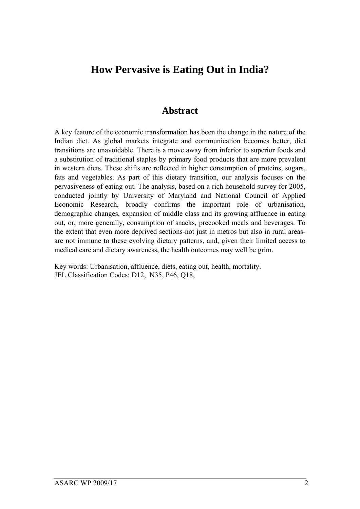# **How Pervasive is Eating Out in India?**

### **Abstract**

A key feature of the economic transformation has been the change in the nature of the Indian diet. As global markets integrate and communication becomes better, diet transitions are unavoidable. There is a move away from inferior to superior foods and a substitution of traditional staples by primary food products that are more prevalent in western diets. These shifts are reflected in higher consumption of proteins, sugars, fats and vegetables. As part of this dietary transition, our analysis focuses on the pervasiveness of eating out. The analysis, based on a rich household survey for 2005, conducted jointly by University of Maryland and National Council of Applied Economic Research, broadly confirms the important role of urbanisation, demographic changes, expansion of middle class and its growing affluence in eating out, or, more generally, consumption of snacks, precooked meals and beverages. To the extent that even more deprived sections-not just in metros but also in rural areasare not immune to these evolving dietary patterns, and, given their limited access to medical care and dietary awareness, the health outcomes may well be grim.

Key words: Urbanisation, affluence, diets, eating out, health, mortality. JEL Classification Codes: D12, N35, P46, Q18,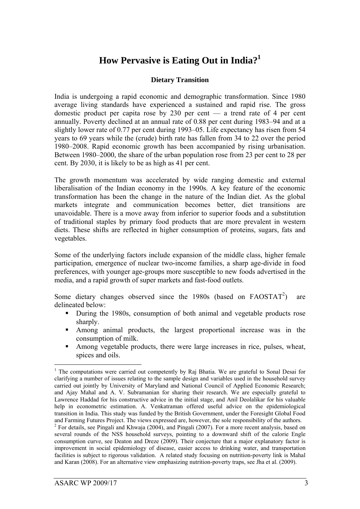### **How Pervasive is Eating Out in India?1**

#### **Dietary Transition**

India is undergoing a rapid economic and demographic transformation. Since 1980 average living standards have experienced a sustained and rapid rise. The gross domestic product per capita rose by 230 per cent — a trend rate of 4 per cent annually. Poverty declined at an annual rate of 0.88 per cent during 1983–94 and at a slightly lower rate of 0.77 per cent during 1993–05. Life expectancy has risen from 54 years to 69 years while the (crude) birth rate has fallen from 34 to 22 over the period 1980–2008. Rapid economic growth has been accompanied by rising urbanisation. Between 1980–2000, the share of the urban population rose from 23 per cent to 28 per cent. By 2030, it is likely to be as high as 41 per cent.

The growth momentum was accelerated by wide ranging domestic and external liberalisation of the Indian economy in the 1990s. A key feature of the economic transformation has been the change in the nature of the Indian diet. As the global markets integrate and communication becomes better, diet transitions are unavoidable. There is a move away from inferior to superior foods and a substitution of traditional staples by primary food products that are more prevalent in western diets. These shifts are reflected in higher consumption of proteins, sugars, fats and vegetables.

Some of the underlying factors include expansion of the middle class, higher female participation, emergence of nuclear two-income families, a sharp age-divide in food preferences, with younger age-groups more susceptible to new foods advertised in the media, and a rapid growth of super markets and fast-food outlets.

Some dietary changes observed since the 1980s (based on FAOSTAT<sup>2</sup>) ) are delineated below:

- During the 1980s, consumption of both animal and vegetable products rose sharply.
- Among animal products, the largest proportional increase was in the consumption of milk.
- Among vegetable products, there were large increases in rice, pulses, wheat, spices and oils.

<sup>&</sup>lt;u>.</u> <sup>1</sup> The computations were carried out competently by Raj Bhatia. We are grateful to Sonal Desai for clarifying a number of issues relating to the sample design and variables used in the household survey carried out jointly by University of Maryland and National Council of Applied Economic Research; and Ajay Mahal and A. V. Subramanian for sharing their research. We are especially grateful to Lawrence Haddad for his constructive advice in the initial stage, and Anil Deolalikar for his valuable help in econometric estimation. A. Venkatraman offered useful advice on the epidemiological transition in India. This study was funded by the British Government, under the Foresight Global Food and Farming Futures Project. The views expressed are, however, the sole responsibility of the authors. 2

 $2$  For details, see Pingali and Khwaja (2004), and Pingali (2007). For a more recent analysis, based on several rounds of the NSS household surveys, pointing to a downward shift of the calorie Engle consumption curve, see Deaton and Dreze (2009). Their conjecture that a major explanatory factor is improvement in social epidemiology of disease, easier access to drinking water, and transportation facilities is subject to rigorous validation. A related study focusing on nutrition-poverty link is Mahal and Karan (2008). For an alternative view emphasizing nutrition-poverty traps, see Jha et al. (2009).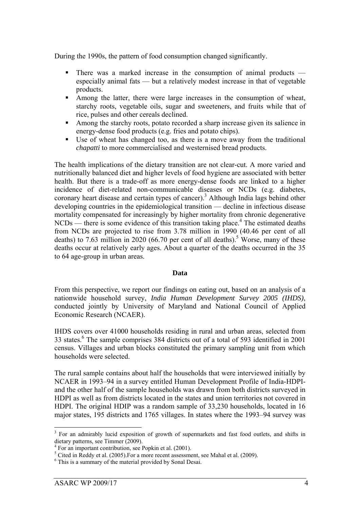During the 1990s, the pattern of food consumption changed significantly.

- There was a marked increase in the consumption of animal products especially animal fats — but a relatively modest increase in that of vegetable products.
- Among the latter, there were large increases in the consumption of wheat, starchy roots, vegetable oils, sugar and sweeteners, and fruits while that of rice, pulses and other cereals declined.
- Among the starchy roots, potato recorded a sharp increase given its salience in energy-dense food products (e.g. fries and potato chips).
- Use of wheat has changed too, as there is a move away from the traditional *chapatti* to more commercialised and westernised bread products.

The health implications of the dietary transition are not clear-cut. A more varied and nutritionally balanced diet and higher levels of food hygiene are associated with better health. But there is a trade-off as more energy-dense foods are linked to a higher incidence of diet-related non-communicable diseases or NCDs (e.g. diabetes, coronary heart disease and certain types of cancer).<sup>3</sup> Although India lags behind other developing countries in the epidemiological transition — decline in infectious disease mortality compensated for increasingly by higher mortality from chronic degenerative  $NCDs$  — there is some evidence of this transition taking place.<sup>4</sup> The estimated deaths from NCDs are projected to rise from 3.78 million in 1990 (40.46 per cent of all deaths) to 7.63 million in 2020 (66.70 per cent of all deaths).<sup>5</sup> Worse, many of these deaths occur at relatively early ages. About a quarter of the deaths occurred in the 35 to 64 age-group in urban areas.

#### **Data**

From this perspective, we report our findings on eating out, based on an analysis of a nationwide household survey, *India Human Development Survey 2005 (IHDS)*, conducted jointly by University of Maryland and National Council of Applied Economic Research (NCAER).

IHDS covers over 41000 households residing in rural and urban areas, selected from 33 states.<sup>6</sup> The sample comprises 384 districts out of a total of 593 identified in 2001 census. Villages and urban blocks constituted the primary sampling unit from which households were selected.

The rural sample contains about half the households that were interviewed initially by NCAER in 1993–94 in a survey entitled Human Development Profile of India-HDPIand the other half of the sample households was drawn from both districts surveyed in HDPI as well as from districts located in the states and union territories not covered in HDPI. The original HDIP was a random sample of 33,230 households, located in 16 major states, 195 districts and 1765 villages. In states where the 1993–94 survey was

1

<sup>&</sup>lt;sup>3</sup> For an admirably lucid exposition of growth of supermarkets and fast food outlets, and shifts in dietary patterns, see Timmer (2009).

<sup>4</sup> For an important contribution, see Popkin et al. (2001).

<sup>&</sup>lt;sup>5</sup> Cited in Reddy et al. (2005). For a more recent assessment, see Mahal et al. (2009).

<sup>6</sup> This is a summary of the material provided by Sonal Desai.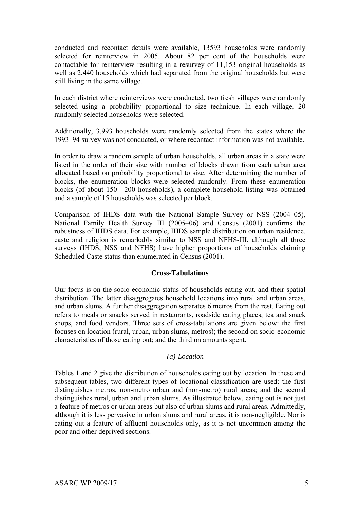conducted and recontact details were available, 13593 households were randomly selected for reinterview in 2005. About 82 per cent of the households were contactable for reinterview resulting in a resurvey of 11,153 original households as well as 2,440 households which had separated from the original households but were still living in the same village.

In each district where reinterviews were conducted, two fresh villages were randomly selected using a probability proportional to size technique. In each village, 20 randomly selected households were selected.

Additionally, 3,993 households were randomly selected from the states where the 1993–94 survey was not conducted, or where recontact information was not available.

In order to draw a random sample of urban households, all urban areas in a state were listed in the order of their size with number of blocks drawn from each urban area allocated based on probability proportional to size. After determining the number of blocks, the enumeration blocks were selected randomly. From these enumeration blocks (of about 150—200 households), a complete household listing was obtained and a sample of 15 households was selected per block.

Comparison of IHDS data with the National Sample Survey or NSS (2004–05), National Family Health Survey III (2005–06) and Census (2001) confirms the robustness of IHDS data. For example, IHDS sample distribution on urban residence, caste and religion is remarkably similar to NSS and NFHS-III, although all three surveys (IHDS, NSS and NFHS) have higher proportions of households claiming Scheduled Caste status than enumerated in Census (2001).

#### **Cross-Tabulations**

Our focus is on the socio-economic status of households eating out, and their spatial distribution. The latter disaggregates household locations into rural and urban areas, and urban slums. A further disaggregation separates 6 metros from the rest. Eating out refers to meals or snacks served in restaurants, roadside eating places, tea and snack shops, and food vendors. Three sets of cross-tabulations are given below: the first focuses on location (rural, urban, urban slums, metros); the second on socio-economic characteristics of those eating out; and the third on amounts spent.

#### *(a) Location*

Tables 1 and 2 give the distribution of households eating out by location. In these and subsequent tables, two different types of locational classification are used: the first distinguishes metros, non-metro urban and (non-metro) rural areas; and the second distinguishes rural, urban and urban slums. As illustrated below, eating out is not just a feature of metros or urban areas but also of urban slums and rural areas. Admittedly, although it is less pervasive in urban slums and rural areas, it is non-negligible. Nor is eating out a feature of affluent households only, as it is not uncommon among the poor and other deprived sections.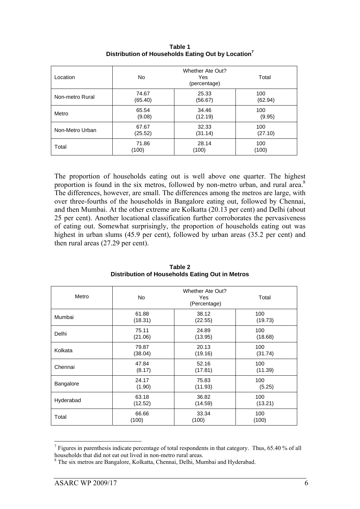| Location        | <b>Whether Ate Out?</b><br>No.<br>Total<br>Yes<br>(percentage) |         |         |  |
|-----------------|----------------------------------------------------------------|---------|---------|--|
| Non-metro Rural | 74.67                                                          | 25.33   | 100     |  |
|                 | (65.40)                                                        | (56.67) | (62.94) |  |
| Metro           | 65.54                                                          | 34.46   | 100     |  |
|                 | (9.08)                                                         | (12.19) | (9.95)  |  |
| Non-Metro Urban | 67.67                                                          | 32.33   | 100     |  |
|                 | (25.52)                                                        | (31.14) | (27.10) |  |
| Total           | 71.86                                                          | 28.14   | 100     |  |
|                 | (100)                                                          | (100)   | (100)   |  |

**Table 1 Distribution of Households Eating Out by Location<sup>7</sup>**

The proportion of households eating out is well above one quarter. The highest proportion is found in the six metros, followed by non-metro urban, and rural area.<sup>8</sup> The differences, however, are small. The differences among the metros are large, with over three-fourths of the households in Bangalore eating out, followed by Chennai, and then Mumbai. At the other extreme are Kolkatta (20.13 per cent) and Delhi (about 25 per cent). Another locational classification further corroborates the pervasiveness of eating out. Somewhat surprisingly, the proportion of households eating out was highest in urban slums (45.9 per cent), followed by urban areas (35.2 per cent) and then rural areas (27.29 per cent).

| Metro     | Whether Ate Out?<br><b>No</b><br>Total<br>Yes<br>(Percentage) |                  |         |  |  |
|-----------|---------------------------------------------------------------|------------------|---------|--|--|
| Mumbai    | 61.88<br>(18.31)                                              | 38.12<br>(22.55) |         |  |  |
| Delhi     | 75.11                                                         | 24.89            | 100     |  |  |
|           | (21.06)                                                       | (13.95)          | (18.68) |  |  |
| Kolkata   | 79.87                                                         | 20.13            | 100     |  |  |
|           | (38.04)                                                       | (19.16)          | (31.74) |  |  |
| Chennai   | 47.84                                                         | 52.16            | 100     |  |  |
|           | (8.17)                                                        | (17.81)          | (11.39) |  |  |
| Bangalore | 24.17                                                         | 75.83            | 100     |  |  |
|           | (1.90)                                                        | (11.93)          | (5.25)  |  |  |
| Hyderabad | 63.18                                                         | 36.82            | 100     |  |  |
|           | (12.52)                                                       | (14.59)          | (13.21) |  |  |
| Total     | 66.66                                                         | 33.34            | 100     |  |  |
|           | (100)                                                         | (100)            | (100)   |  |  |

**Table 2 Distribution of Households Eating Out in Metros** 

1

 $<sup>7</sup>$  Figures in parenthesis indicate percentage of total respondents in that category. Thus, 65.40 % of all</sup> households that did not eat out lived in non-metro rural areas.

<sup>&</sup>lt;sup>8</sup> The six metros are Bangalore, Kolkatta, Chennai, Delhi, Mumbai and Hyderabad.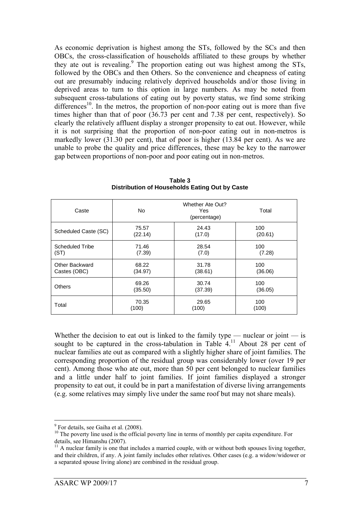As economic deprivation is highest among the STs, followed by the SCs and then OBCs, the cross-classification of households affiliated to these groups by whether they ate out is revealing.<sup>9</sup> The proportion eating out was highest among the STs, followed by the OBCs and then Others. So the convenience and cheapness of eating out are presumably inducing relatively deprived households and/or those living in deprived areas to turn to this option in large numbers. As may be noted from subsequent cross-tabulations of eating out by poverty status, we find some striking differences<sup>10</sup>. In the metros, the proportion of non-poor eating out is more than five times higher than that of poor (36.73 per cent and 7.38 per cent, respectively). So clearly the relatively affluent display a stronger propensity to eat out. However, while it is not surprising that the proportion of non-poor eating out in non-metros is markedly lower (31.30 per cent), that of poor is higher (13.84 per cent). As we are unable to probe the quality and price differences, these may be key to the narrower gap between proportions of non-poor and poor eating out in non-metros.

| Caste                | Whether Ate Out?<br>No.<br>Total<br>Yes<br>(percentage) |                |         |  |
|----------------------|---------------------------------------------------------|----------------|---------|--|
| Scheduled Caste (SC) | 75.57<br>(22.14)                                        | 100<br>(20.61) |         |  |
| Scheduled Tribe      | 71.46                                                   | 28.54          | 100     |  |
| (ST)                 | (7.39)                                                  | (7.0)          | (7.28)  |  |
| Other Backward       | 68.22                                                   | 31.78          | 100     |  |
| Castes (OBC)         | (34.97)                                                 | (38.61)        | (36.06) |  |
| <b>Others</b>        | 69.26                                                   | 30.74          | 100     |  |
|                      | (35.50)                                                 | (37.39)        | (36.05) |  |
| Total                | 70.35                                                   | 29.65          | 100     |  |
|                      | (100)                                                   | (100)          | (100)   |  |

**Table 3 Distribution of Households Eating Out by Caste** 

Whether the decision to eat out is linked to the family type — nuclear or joint — is sought to be captured in the cross-tabulation in Table  $4<sup>11</sup>$  About 28 per cent of nuclear families ate out as compared with a slightly higher share of joint families. The corresponding proportion of the residual group was considerably lower (over 19 per cent). Among those who ate out, more than 50 per cent belonged to nuclear families and a little under half to joint families. If joint families displayed a stronger propensity to eat out, it could be in part a manifestation of diverse living arrangements (e.g. some relatives may simply live under the same roof but may not share meals).

1

<sup>&</sup>lt;sup>9</sup> For details, see Gaiha et al. (2008).

<sup>&</sup>lt;sup>10</sup> The poverty line used is the official poverty line in terms of monthly per capita expenditure. For details, see Himanshu (2007).

 $11$  A nuclear family is one that includes a married couple, with or without both spouses living together, and their children, if any. A joint family includes other relatives. Other cases (e.g. a widow/widower or a separated spouse living alone) are combined in the residual group.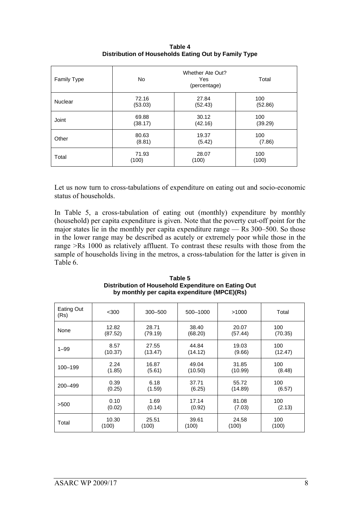| Family Type | Whether Ate Out?<br>No.<br>Total<br>Yes<br>(percentage) |         |         |  |  |
|-------------|---------------------------------------------------------|---------|---------|--|--|
| Nuclear     | 72.16                                                   | 27.84   | 100     |  |  |
|             | (53.03)                                                 | (52.43) | (52.86) |  |  |
| Joint       | 69.88                                                   | 30.12   | 100     |  |  |
|             | (38.17)                                                 | (42.16) | (39.29) |  |  |
| Other       | 80.63                                                   | 19.37   | 100     |  |  |
|             | (8.81)                                                  | (5.42)  | (7.86)  |  |  |
| Total       | 71.93                                                   | 28.07   | 100     |  |  |
|             | (100)                                                   | (100)   | (100)   |  |  |

**Table 4 Distribution of Households Eating Out by Family Type** 

Let us now turn to cross-tabulations of expenditure on eating out and socio-economic status of households.

In Table 5, a cross-tabulation of eating out (monthly) expenditure by monthly (household) per capita expenditure is given. Note that the poverty cut-off point for the major states lie in the monthly per capita expenditure range — Rs 300–500. So those in the lower range may be described as acutely or extremely poor while those in the range >Rs 1000 as relatively affluent. To contrast these results with those from the sample of households living in the metros, a cross-tabulation for the latter is given in Table 6.

| Eating Out<br>(Rs) | $300$   | $300 - 500$ | 500-1000 | >1000   | Total   |
|--------------------|---------|-------------|----------|---------|---------|
| None               | 12.82   | 28.71       | 38.40    | 20.07   | 100     |
|                    | (87.52) | (79.19)     | (68.20)  | (57.44) | (70.35) |
| $1 - 99$           | 8.57    | 27.55       | 44.84    | 19.03   | 100     |
|                    | (10.37) | (13.47)     | (14.12)  | (9.66)  | (12.47) |
| 100-199            | 2.24    | 16.87       | 49.04    | 31.85   | 100     |
|                    | (1.85)  | (5.61)      | (10.50)  | (10.99) | (8.48)  |
| 200-499            | 0.39    | 6.18        | 37.71    | 55.72   | 100     |
|                    | (0.25)  | (1.59)      | (6.25)   | (14.89) | (6.57)  |
| >500               | 0.10    | 1.69        | 17.14    | 81.08   | 100     |
|                    | (0.02)  | (0.14)      | (0.92)   | (7.03)  | (2.13)  |
| Total              | 10.30   | 25.51       | 39.61    | 24.58   | 100     |
|                    | (100)   | (100)       | (100)    | (100)   | (100)   |

**Table 5 Distribution of Household Expenditure on Eating Out by monthly per capita expenditure (MPCE)(Rs)**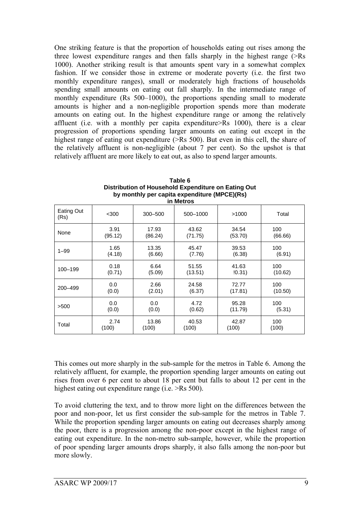One striking feature is that the proportion of households eating out rises among the three lowest expenditure ranges and then falls sharply in the highest range (>Rs 1000). Another striking result is that amounts spent vary in a somewhat complex fashion. If we consider those in extreme or moderate poverty (i.e. the first two monthly expenditure ranges), small or moderately high fractions of households spending small amounts on eating out fall sharply. In the intermediate range of monthly expenditure (Rs 500–1000), the proportions spending small to moderate amounts is higher and a non-negligible proportion spends more than moderate amounts on eating out. In the highest expenditure range or among the relatively affluent (i.e. with a monthly per capita expenditure>Rs 1000), there is a clear progression of proportions spending larger amounts on eating out except in the highest range of eating out expenditure (>Rs 500). But even in this cell, the share of the relatively affluent is non-negligible (about 7 per cent). So the upshot is that relatively affluent are more likely to eat out, as also to spend larger amounts.

| in Metros          |         |         |          |         |         |
|--------------------|---------|---------|----------|---------|---------|
| Eating Out<br>(Rs) | $<$ 300 | 300-500 | 500-1000 | >1000   | Total   |
| None               | 3.91    | 17.93   | 43.62    | 34.54   | 100     |
|                    | (95.12) | (86.24) | (71.75)  | (53.70) | (66.66) |
| $1 - 99$           | 1.65    | 13.35   | 45.47    | 39.53   | 100     |
|                    | (4.18)  | (6.66)  | (7.76)   | (6.38)  | (6.91)  |
| 100-199            | 0.18    | 6.64    | 51.55    | 41.63   | 100     |
|                    | (0.71)  | (5.09)  | (13.51)  | (0.31)  | (10.62) |
| 200-499            | 0.0     | 2.66    | 24.58    | 72.77   | 100     |
|                    | (0.0)   | (2.01)  | (6.37)   | (17.81) | (10.50) |
| >500               | 0.0     | 0.0     | 4.72     | 95.28   | 100     |
|                    | (0.0)   | (0.0)   | (0.62)   | (11.79) | (5.31)  |
| Total              | 2.74    | 13.86   | 40.53    | 42.87   | 100     |
|                    | (100)   | (100)   | (100)    | (100)   | (100)   |

**Table 6 Distribution of Household Expenditure on Eating Out by monthly per capita expenditure (MPCE)(Rs)** 

This comes out more sharply in the sub-sample for the metros in Table 6. Among the relatively affluent, for example, the proportion spending larger amounts on eating out rises from over 6 per cent to about 18 per cent but falls to about 12 per cent in the highest eating out expenditure range (i.e.  $>$ Rs 500).

To avoid cluttering the text, and to throw more light on the differences between the poor and non-poor, let us first consider the sub-sample for the metros in Table 7. While the proportion spending larger amounts on eating out decreases sharply among the poor, there is a progression among the non-poor except in the highest range of eating out expenditure. In the non-metro sub-sample, however, while the proportion of poor spending larger amounts drops sharply, it also falls among the non-poor but more slowly.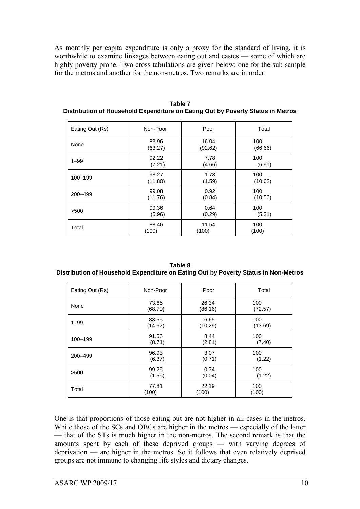As monthly per capita expenditure is only a proxy for the standard of living, it is worthwhile to examine linkages between eating out and castes — some of which are highly poverty prone. Two cross-tabulations are given below: one for the sub-sample for the metros and another for the non-metros. Two remarks are in order.

| Eating Out (Rs) | Non-Poor | Poor    | Total   |
|-----------------|----------|---------|---------|
| None            | 83.96    | 16.04   | 100     |
|                 | (63.27)  | (92.62) | (66.66) |
| $1 - 99$        | 92.22    | 7.78    | 100     |
|                 | (7.21)   | (4.66)  | (6.91)  |
| 100-199         | 98.27    | 1.73    | 100     |
|                 | (11.80)  | (1.59)  | (10.62) |
| 200-499         | 99.08    | 0.92    | 100     |
|                 | (11.76)  | (0.84)  | (10.50) |
| >500            | 99.36    | 0.64    | 100     |
|                 | (5.96)   | (0.29)  | (5.31)  |
| Total           | 88.46    | 11.54   | 100     |
|                 | (100)    | (100)   | (100)   |

**Table 7 Distribution of Household Expenditure on Eating Out by Poverty Status in Metros** 

| Table 8                                                                             |
|-------------------------------------------------------------------------------------|
| Distribution of Household Expenditure on Eating Out by Poverty Status in Non-Metros |

| Eating Out (Rs) | Non-Poor | Poor    | Total   |
|-----------------|----------|---------|---------|
| None            | 73.66    | 26.34   | 100     |
|                 | (68.70)  | (86.16) | (72.57) |
| $1 - 99$        | 83.55    | 16.65   | 100     |
|                 | (14.67)  | (10.29) | (13.69) |
| 100-199         | 91.56    | 8.44    | 100     |
|                 | (8.71)   | (2.81)  | (7.40)  |
| 200-499         | 96.93    | 3.07    | 100     |
|                 | (6.37)   | (0.71)  | (1.22)  |
| >500            | 99.26    | 0.74    | 100     |
|                 | (1.56)   | (0.04)  | (1.22)  |
| Total           | 77.81    | 22.19   | 100     |
|                 | (100)    | (100)   | (100)   |

One is that proportions of those eating out are not higher in all cases in the metros. While those of the SCs and OBCs are higher in the metros — especially of the latter — that of the STs is much higher in the non-metros. The second remark is that the amounts spent by each of these deprived groups — with varying degrees of deprivation — are higher in the metros. So it follows that even relatively deprived groups are not immune to changing life styles and dietary changes.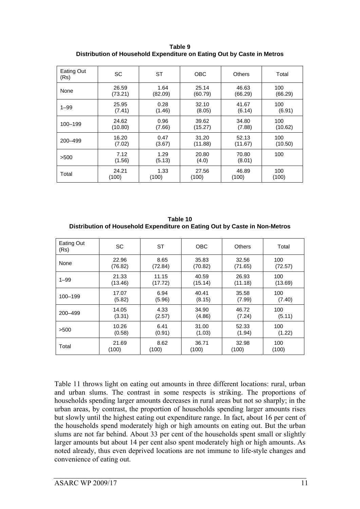**Table 9 Distribution of Household Expenditure on Eating Out by Caste in Metros** 

| Eating Out<br>(Rs) | <b>SC</b>      | ST             | <b>OBC</b>     | <b>Others</b>   | Total   |
|--------------------|----------------|----------------|----------------|-----------------|---------|
| None               | 26.59          | 1.64           | 25.14          | 46.63           | 100     |
|                    | (73.21)        | (82.09)        | (60.79)        | (66.29)         | (66.29) |
| $1 - 99$           | 25.95          | 0.28           | 32.10          | 41.67           | 100     |
|                    | (7.41)         | (1.46)         | (8.05)         | (6.14)          | (6.91)  |
| 100-199            | 24.62          | 0.96           | 39.62          | 34.80           | 100     |
|                    | (10.80)        | (7.66)         | (15.27)        | (7.88)          | (10.62) |
| 200-499            | 16.20          | 0.47           | 31.20          | 52.13           | 100     |
|                    | (7.02)         | (3.67)         | (11.88)        | (11.67)         | (10.50) |
| >500               | 7.12<br>(1.56) | 1.29<br>(5.13) | 20.80<br>(4.0) | 70.80<br>(8.01) | 100     |
| Total              | 24.21          | 1.33           | 27.56          | 46.89           | 100     |
|                    | (100)          | (100)          | (100)          | (100)           | (100)   |

**Table 10 Distribution of Household Expenditure on Eating Out by Caste in Non-Metros** 

| Eating Out<br>(Rs) | <b>SC</b> | <b>ST</b> | <b>OBC</b> | <b>Others</b> | Total   |
|--------------------|-----------|-----------|------------|---------------|---------|
| None               | 22.96     | 8.65      | 35.83      | 32.56         | 100     |
|                    | (76.82)   | (72.84)   | (70.82)    | (71.65)       | (72.57) |
| $1 - 99$           | 21.33     | 11.15     | 40.59      | 26.93         | 100     |
|                    | (13.46)   | (17.72)   | (15.14)    | (11.18)       | (13.69) |
| 100-199            | 17.07     | 6.94      | 40.41      | 35.58         | 100     |
|                    | (5.82)    | (5.96)    | (8.15)     | (7.99)        | (7.40)  |
| 200-499            | 14.05     | 4.33      | 34.90      | 46.72         | 100     |
|                    | (3.31)    | (2.57)    | (4.86)     | (7.24)        | (5.11)  |
| >500               | 10.26     | 6.41      | 31.00      | 52.33         | 100     |
|                    | (0.58)    | (0.91)    | (1.03)     | (1.94)        | (1.22)  |
| Total              | 21.69     | 8.62      | 36.71      | 32.98         | 100     |
|                    | (100)     | (100)     | (100)      | (100)         | (100)   |

Table 11 throws light on eating out amounts in three different locations: rural, urban and urban slums. The contrast in some respects is striking. The proportions of households spending larger amounts decreases in rural areas but not so sharply; in the urban areas, by contrast, the proportion of households spending larger amounts rises but slowly until the highest eating out expenditure range. In fact, about 16 per cent of the households spend moderately high or high amounts on eating out. But the urban slums are not far behind. About 33 per cent of the households spent small or slightly larger amounts but about 14 per cent also spent moderately high or high amounts. As noted already, thus even deprived locations are not immune to life-style changes and convenience of eating out.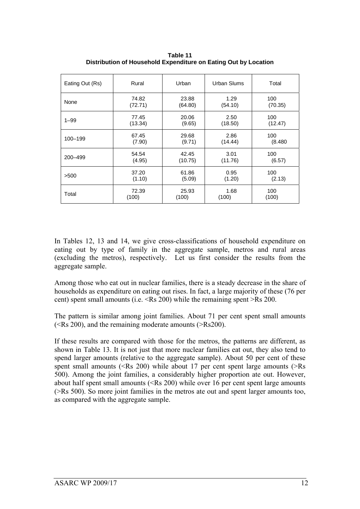| Eating Out (Rs) | Rural   | Urban   | Urban Slums | Total   |
|-----------------|---------|---------|-------------|---------|
| None            | 74.82   | 23.88   | 1.29        | 100     |
|                 | (72.71) | (64.80) | (54.10)     | (70.35) |
| $1 - 99$        | 77.45   | 20.06   | 2.50        | 100     |
|                 | (13.34) | (9.65)  | (18.50)     | (12.47) |
| 100-199         | 67.45   | 29.68   | 2.86        | 100     |
|                 | (7.90)  | (9.71)  | (14.44)     | (8.480) |
| 200-499         | 54.54   | 42.45   | 3.01        | 100     |
|                 | (4.95)  | (10.75) | (11.76)     | (6.57)  |
| >500            | 37.20   | 61.86   | 0.95        | 100     |
|                 | (1.10)  | (5.09)  | (1.20)      | (2.13)  |
| Total           | 72.39   | 25.93   | 1.68        | 100     |
|                 | (100)   | (100)   | (100)       | (100)   |

**Table 11 Distribution of Household Expenditure on Eating Out by Location** 

In Tables 12, 13 and 14, we give cross-classifications of household expenditure on eating out by type of family in the aggregate sample, metros and rural areas (excluding the metros), respectively. Let us first consider the results from the aggregate sample.

Among those who eat out in nuclear families, there is a steady decrease in the share of households as expenditure on eating out rises. In fact, a large majority of these (76 per cent) spent small amounts (i.e. <Rs 200) while the remaining spent >Rs 200.

The pattern is similar among joint families. About 71 per cent spent small amounts (<Rs 200), and the remaining moderate amounts (>Rs200).

If these results are compared with those for the metros, the patterns are different, as shown in Table 13. It is not just that more nuclear families eat out, they also tend to spend larger amounts (relative to the aggregate sample). About 50 per cent of these spent small amounts ( $\langle$ Rs 200) while about 17 per cent spent large amounts ( $\rangle$ Rs 500). Among the joint families, a considerably higher proportion ate out. However, about half spent small amounts (<Rs 200) while over 16 per cent spent large amounts (>Rs 500). So more joint families in the metros ate out and spent larger amounts too, as compared with the aggregate sample.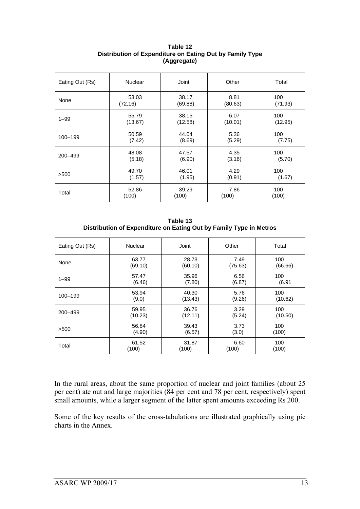| Eating Out (Rs) | <b>Nuclear</b> | Joint   | Other   | Total   |  |
|-----------------|----------------|---------|---------|---------|--|
| None            | 53.03          | 38.17   | 8.81    | 100     |  |
|                 | (72, 16)       | (69.88) | (80.63) | (71.93) |  |
| $1 - 99$        | 55.79          | 38.15   | 6.07    | 100     |  |
|                 | (13.67)        | (12.58) | (10.01) | (12.95) |  |
| 100-199         | 50.59          | 44.04   | 5.36    | 100     |  |
|                 | (7.42)         | (8.69)  | (5.29)  | (7.75)  |  |
| 200-499         | 48.08          | 47.57   | 4.35    | 100     |  |
|                 | (5.18)         | (6.90)  | (3.16)  | (5.70)  |  |
| >500            | 49.70          | 46.01   | 4.29    | 100     |  |
|                 | (1.57)         | (1.95)  | (0.91)  | (1.67)  |  |
| Total           | 52.86          | 39.29   | 7.86    | 100     |  |
|                 | (100)          | (100)   | (100)   | (100)   |  |

**Table 12 Distribution of Expenditure on Eating Out by Family Type (Aggregate)** 

**Table 13 Distribution of Expenditure on Eating Out by Family Type in Metros** 

| Eating Out (Rs) | <b>Nuclear</b> | Joint   | Other   | Total   |  |
|-----------------|----------------|---------|---------|---------|--|
| None            | 63.77          | 28.73   | 7.49    | 100     |  |
|                 | (69.10)        | (60.10) | (75.63) | (66.66) |  |
| $1 - 99$        | 57.47          | 35.96   | 6.56    | 100     |  |
|                 | (6.46)         | (7.80)  | (6.87)  | (6.91)  |  |
| 100-199         | 53.94          | 40.30   | 5.76    | 100     |  |
|                 | (9.0)          | (13.43) | (9.26)  | (10.62) |  |
| 200-499         | 59.95          | 36.76   | 3.29    | 100     |  |
|                 | (10.23)        | (12.11) | (5.24)  | (10.50) |  |
| >500            | 56.84          | 39.43   | 3.73    | 100     |  |
|                 | (4.90)         | (6.57)  | (3.0)   | (100)   |  |
| Total           | 61.52          | 31.87   | 6.60    | 100     |  |
|                 | (100)          | (100)   | (100)   | (100)   |  |

In the rural areas, about the same proportion of nuclear and joint families (about 25 per cent) ate out and large majorities (84 per cent and 78 per cent, respectively) spent small amounts, while a larger segment of the latter spent amounts exceeding Rs 200.

Some of the key results of the cross-tabulations are illustrated graphically using pie charts in the Annex.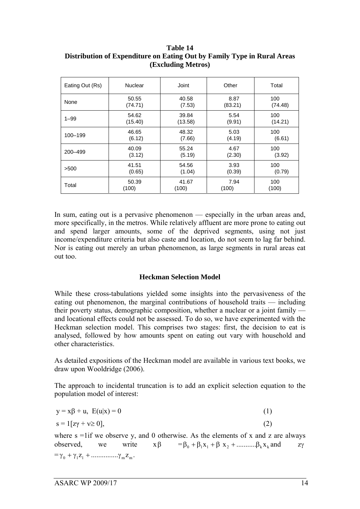| Eating Out (Rs) | <b>Nuclear</b> | Joint   | Other   | Total   |  |
|-----------------|----------------|---------|---------|---------|--|
| None            | 50.55          | 40.58   | 8.87    | 100     |  |
|                 | (74.71)        | (7.53)  | (83.21) | (74.48) |  |
| $1 - 99$        | 54.62          | 39.84   | 5.54    | 100     |  |
|                 | (15.40)        | (13.58) | (9.91)  | (14.21) |  |
| 100-199         | 46.65          | 48.32   | 5.03    | 100     |  |
|                 | (6.12)         | (7.66)  | (4.19)  | (6.61)  |  |
| 200-499         | 40.09          | 55.24   | 4.67    | 100     |  |
|                 | (3.12)         | (5.19)  | (2.30)  | (3.92)  |  |
| >500            | 41.51          | 54.56   | 3.93    | 100     |  |
|                 | (0.65)         | (1.04)  | (0.39)  | (0.79)  |  |
| Total           | 50.39          | 41.67   | 7.94    | 100     |  |
|                 | (100)          | (100)   | (100)   | (100)   |  |

**Table 14 Distribution of Expenditure on Eating Out by Family Type in Rural Areas (Excluding Metros)** 

In sum, eating out is a pervasive phenomenon — especially in the urban areas and, more specifically, in the metros. While relatively affluent are more prone to eating out and spend larger amounts, some of the deprived segments, using not just income/expenditure criteria but also caste and location, do not seem to lag far behind. Nor is eating out merely an urban phenomenon, as large segments in rural areas eat out too.

#### **Heckman Selection Model**

While these cross-tabulations yielded some insights into the pervasiveness of the eating out phenomenon, the marginal contributions of household traits — including their poverty status, demographic composition, whether a nuclear or a joint family and locational effects could not be assessed. To do so, we have experimented with the Heckman selection model. This comprises two stages: first, the decision to eat is analysed, followed by how amounts spent on eating out vary with household and other characteristics.

As detailed expositions of the Heckman model are available in various text books, we draw upon Wooldridge (2006).

The approach to incidental truncation is to add an explicit selection equation to the population model of interest:

| $y = x\beta + u$ , $E(u x) = 0$ | (1) |
|---------------------------------|-----|
| $s = 1 [zy + v \ge 0],$         | (2) |

where  $s = 1$  if we observe y, and 0 otherwise. As the elements of x and z are always observed, we write  $x\beta = \beta_0 + \beta_1 x_1 + \beta_2 x_2 + \dots + \beta_k x_k$  and  $zy$  $= \gamma_0 + \gamma_1 Z_1 + \dots + \gamma_m Z_m$ .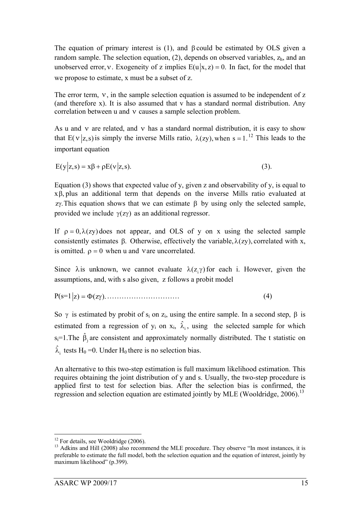The equation of primary interest is  $(1)$ , and  $\beta$  could be estimated by OLS given a random sample. The selection equation, (2), depends on observed variables,  $z<sub>h</sub>$ , and an unobserved error, v. Exogeneity of z implies  $E(u|x, z) = 0$ . In fact, for the model that we propose to estimate, x must be a subset of z.

The error term, ν, in the sample selection equation is assumed to be independent of z (and therefore x). It is also assumed that v has a standard normal distribution. Any correlation between u and ν causes a sample selection problem.

As u and v are related, and v has a standard normal distribution, it is easy to show that E(v|z,s) is simply the inverse Mills ratio,  $\lambda(zy)$ , when s = 1.<sup>12</sup> This leads to the important equation

$$
E(y|z,s) = x\beta + \rho E(v|z,s).
$$
\n(3)

Equation (3) shows that expected value of y, given z and observability of y, is equal to xβ, plus an additional term that depends on the inverse Mills ratio evaluated at  $z$ γ. This equation shows that we can estimate β by using only the selected sample, provided we include  $\gamma(z\gamma)$  as an additional regressor.

If  $\rho = 0$ ,  $\lambda$ (zy) does not appear, and OLS of y on x using the selected sample consistently estimates β. Otherwise, effectively the variable,  $λ(zy)$ , correlated with x, is omitted.  $\rho = 0$  when u and vare uncorrelated.

Since  $\lambda$  is unknown, we cannot evaluate  $\lambda(z, \gamma)$  for each i. However, given the assumptions, and, with s also given, z follows a probit model

P(s=1 z) (z ). =Φ γ ………………………… (4)

So  $\gamma$  is estimated by probit of s<sub>i</sub> on z<sub>i</sub>, using the entire sample. In a second step,  $\beta$  is estimated from a regression of  $y_i$  on  $x_i$ ,  $\hat{\lambda}_i$ , using the selected sample for which s<sub>i</sub>=1. The  $\hat{\beta}_j$  are consistent and approximately normally distributed. The t statistic on  $\hat{\lambda}_i$  tests H<sub>0</sub> = 0. Under H<sub>0</sub> there is no selection bias.

An alternative to this two-step estimation is full maximum likelihood estimation. This requires obtaining the joint distribution of y and s. Usually, the two-step procedure is applied first to test for selection bias. After the selection bias is confirmed, the regression and selection equation are estimated jointly by MLE (Wooldridge,  $2006$ ).<sup>13</sup>

<sup>&</sup>lt;u>.</u>  $12$  For details, see Wooldridge (2006).

<sup>&</sup>lt;sup>13</sup> Adkins and Hill (2008) also recommend the MLE procedure. They observe "In most instances, it is preferable to estimate the full model, both the selection equation and the equation of interest, jointly by maximum likelihood" (p.399).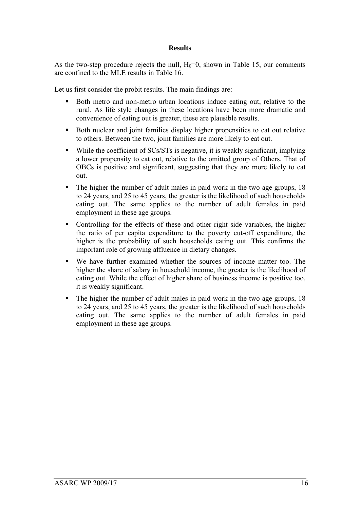#### **Results**

As the two-step procedure rejects the null,  $H_0=0$ , shown in Table 15, our comments are confined to the MLE results in Table 16.

Let us first consider the probit results. The main findings are:

- Both metro and non-metro urban locations induce eating out, relative to the rural. As life style changes in these locations have been more dramatic and convenience of eating out is greater, these are plausible results.
- Both nuclear and joint families display higher propensities to eat out relative to others. Between the two, joint families are more likely to eat out.
- While the coefficient of SCs/STs is negative, it is weakly significant, implying a lower propensity to eat out, relative to the omitted group of Others. That of OBCs is positive and significant, suggesting that they are more likely to eat out.
- The higher the number of adult males in paid work in the two age groups, 18 to 24 years, and 25 to 45 years, the greater is the likelihood of such households eating out. The same applies to the number of adult females in paid employment in these age groups.
- Controlling for the effects of these and other right side variables, the higher the ratio of per capita expenditure to the poverty cut-off expenditure, the higher is the probability of such households eating out. This confirms the important role of growing affluence in dietary changes.
- We have further examined whether the sources of income matter too. The higher the share of salary in household income, the greater is the likelihood of eating out. While the effect of higher share of business income is positive too, it is weakly significant.
- The higher the number of adult males in paid work in the two age groups, 18 to 24 years, and 25 to 45 years, the greater is the likelihood of such households eating out. The same applies to the number of adult females in paid employment in these age groups.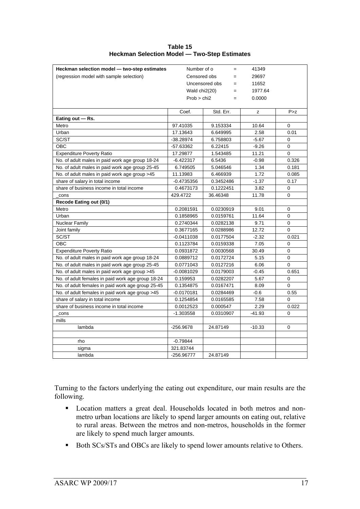**Table 15 Heckman Selection Model — Two-Step Estimates** 

| Heckman selection model - two-step estimates      | Number of o           | $=$                 | 41349    |             |
|---------------------------------------------------|-----------------------|---------------------|----------|-------------|
| (regression model with sample selection)          |                       | Censored obs<br>$=$ |          |             |
|                                                   | Uncensored obs<br>$=$ |                     | 11652    |             |
|                                                   | Wald chi2(20)         | $=$                 | 1977.64  |             |
|                                                   | Prob > chi2           | $=$                 | 0.0000   |             |
|                                                   |                       |                     |          |             |
|                                                   | Coef.                 | Std. Err.           | Z        | P > z       |
| Eating out - Rs.                                  |                       |                     |          |             |
| Metro                                             | 97.41035              | 9.153334            | 10.64    | 0           |
| Urban                                             | 17.13643              | 6.649995            | 2.58     | 0.01        |
| SC/ST                                             | $-38.28974$           | 6.758803            | $-5.67$  | $\Omega$    |
| <b>OBC</b>                                        | $-57.63362$           | 6.22415             | $-9.26$  | 0           |
| <b>Expenditure Poverty Ratio</b>                  | 17.29877              | 1.543485            | 11.21    | $\Omega$    |
| No. of adult males in paid work age group 18-24   | $-6.422317$           | 6.5436              | $-0.98$  | 0.326       |
| No. of adult males in paid work age group 25-45   | 6.749505              | 5.046546            | 1.34     | 0.181       |
| No. of adult males in paid work age group >45     | 11.13983              | 6.466939            | 1.72     | 0.085       |
| share of salary in total income                   | $-0.4735356$          | 0.3452486           | $-1.37$  | 0.17        |
| share of business income in total income          | 0.4673173             | 0.1222451           | 3.82     | $\mathbf 0$ |
| cons                                              | 429.4722              | 36.46348            | 11.78    | 0           |
| Recode Eating out (0/1)                           |                       |                     |          |             |
| Metro                                             | 0.2081591             | 0.0230919           | 9.01     | $\Omega$    |
| Urban                                             | 0.1858965             | 0.0159761           | 11.64    | 0           |
| Nuclear Family                                    | 0.2740344             | 0.0282138           | 9.71     | 0           |
| Joint family                                      | 0.3677165             | 0.0288986           | 12.72    | $\mathbf 0$ |
| SC/ST                                             | $-0.0411038$          | 0.0177504           | $-2.32$  | 0.021       |
| <b>OBC</b>                                        | 0.1123784             | 0.0159338           | 7.05     | $\Omega$    |
| Expenditure Poverty Ratio                         | 0.0931872             | 0.0030568           | 30.49    | 0           |
| No. of adult males in paid work age group 18-24   | 0.0889712             | 0.0172724           | 5.15     | 0           |
| No. of adult males in paid work age group 25-45   | 0.0771043             | 0.0127216           | 6.06     | $\Omega$    |
| No. of adult males in paid work age group >45     | $-0.0081029$          | 0.0179003           | $-0.45$  | 0.651       |
| No. of adult females in paid work age group 18-24 | 0.159953              | 0.0282207           | 5.67     | 0           |
| No. of adult females in paid work age group 25-45 | 0.1354875             | 0.0167471           | 8.09     | 0           |
| No. of adult females in paid work age group >45   | $-0.0170181$          | 0.0284469           | $-0.6$   | 0.55        |
| share of salary in total income                   | 0.1254854             | 0.0165585           | 7.58     | $\Omega$    |
| share of business income in total income          | 0.0012523             | 0.000547            | 2.29     | 0.022       |
| cons                                              | $-1.303558$           | 0.0310907           | $-41.93$ | $\Omega$    |
| mills                                             |                       |                     |          |             |
| lambda                                            | $-256.9678$           | 24.87149            | $-10.33$ | 0           |
|                                                   |                       |                     |          |             |
| rho                                               | $-0.79844$            |                     |          |             |
| sigma                                             | 321.83744             |                     |          |             |
| lambda                                            | -256.96777            | 24.87149            |          |             |

Turning to the factors underlying the eating out expenditure, our main results are the following.

- **Location matters a great deal. Households located in both metros and non**metro urban locations are likely to spend larger amounts on eating out, relative to rural areas. Between the metros and non-metros, households in the former are likely to spend much larger amounts.
- Both SCs/STs and OBCs are likely to spend lower amounts relative to Others.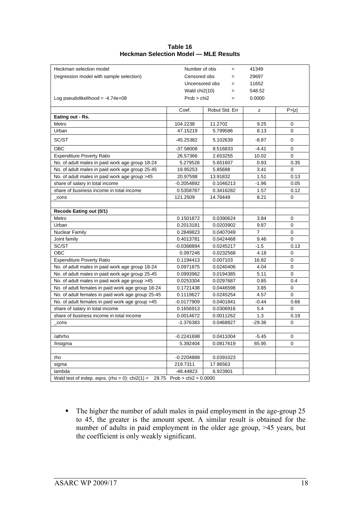| Table 16                                     |
|----------------------------------------------|
| <b>Heckman Selection Model - MLE Results</b> |

The higher the number of adult males in paid employment in the age-group 25 to 45, the greater is the amount spent. A similar result is obtained for the number of adults in paid employment in the older age group, >45 years, but the coefficient is only weakly significant.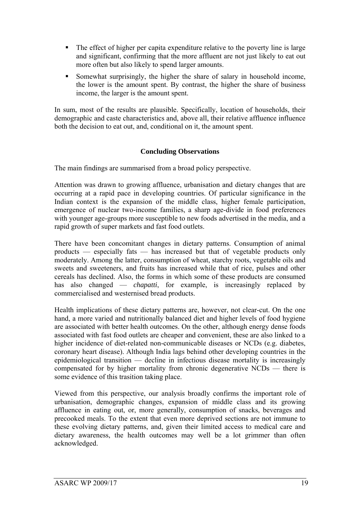- The effect of higher per capita expenditure relative to the poverty line is large and significant, confirming that the more affluent are not just likely to eat out more often but also likely to spend larger amounts.
- Somewhat surprisingly, the higher the share of salary in household income, the lower is the amount spent. By contrast, the higher the share of business income, the larger is the amount spent.

In sum, most of the results are plausible. Specifically, location of households, their demographic and caste characteristics and, above all, their relative affluence influence both the decision to eat out, and, conditional on it, the amount spent.

#### **Concluding Observations**

The main findings are summarised from a broad policy perspective.

Attention was drawn to growing affluence, urbanisation and dietary changes that are occurring at a rapid pace in developing countries. Of particular significance in the Indian context is the expansion of the middle class, higher female participation, emergence of nuclear two-income families, a sharp age-divide in food preferences with younger age-groups more susceptible to new foods advertised in the media, and a rapid growth of super markets and fast food outlets.

There have been concomitant changes in dietary patterns. Consumption of animal products — especially fats — has increased but that of vegetable products only moderately. Among the latter, consumption of wheat, starchy roots, vegetable oils and sweets and sweeteners, and fruits has increased while that of rice, pulses and other cereals has declined. Also, the forms in which some of these products are consumed has also changed — *chapatti*, for example, is increasingly replaced by commercialised and westernised bread products.

Health implications of these dietary patterns are, however, not clear-cut. On the one hand, a more varied and nutritionally balanced diet and higher levels of food hygiene are associated with better health outcomes. On the other, although energy dense foods associated with fast food outlets are cheaper and convenient, these are also linked to a higher incidence of diet-related non-communicable diseases or NCDs (e.g. diabetes, coronary heart disease). Although India lags behind other developing countries in the epidemiological transition — decline in infectious disease mortality is increasingly compensated for by higher mortality from chronic degenerative NCDs — there is some evidence of this trasition taking place.

Viewed from this perspective, our analysis broadly confirms the important role of urbanisation, demographic changes, expansion of middle class and its growing affluence in eating out, or, more generally, consumption of snacks, beverages and precooked meals. To the extent that even more deprived sections are not immune to these evolving dietary patterns, and, given their limited access to medical care and dietary awareness, the health outcomes may well be a lot grimmer than often acknowledged.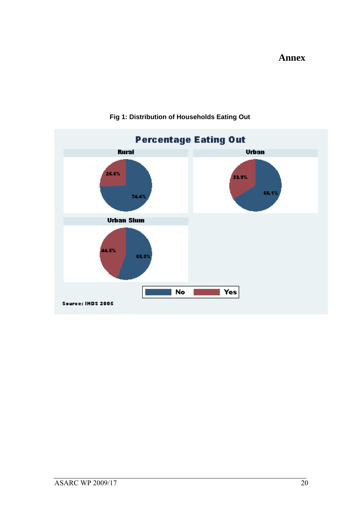**Annex**



### **Fig 1: Distribution of Households Eating Out**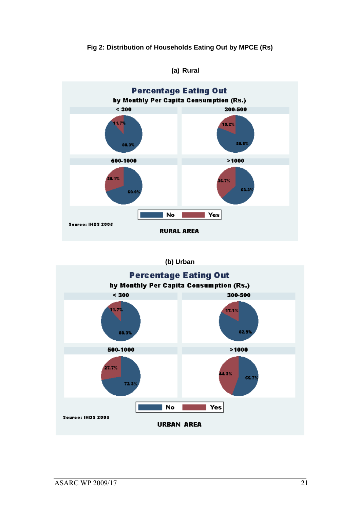#### **Fig 2: Distribution of Households Eating Out by MPCE (Rs)**



#### **(a) Rural**

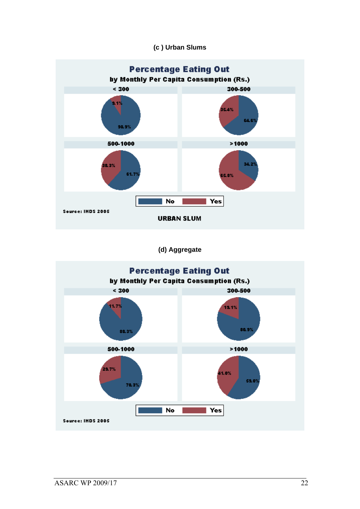#### **(c ) Urban Slums**



**(d) Aggregate** 

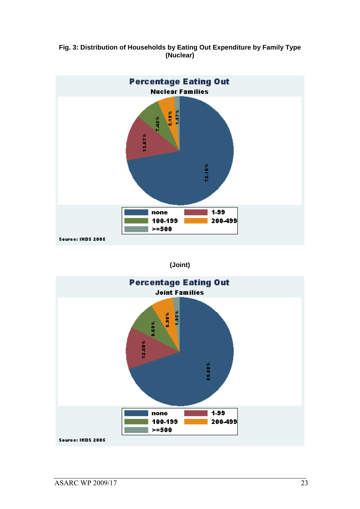



#### **(Joint)**

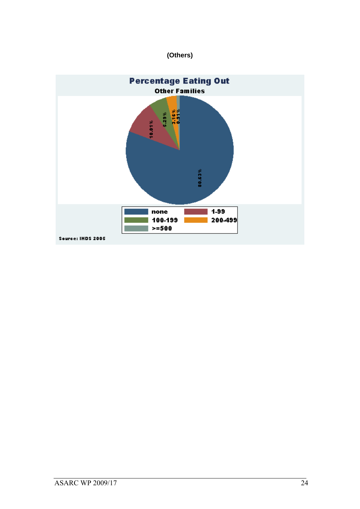